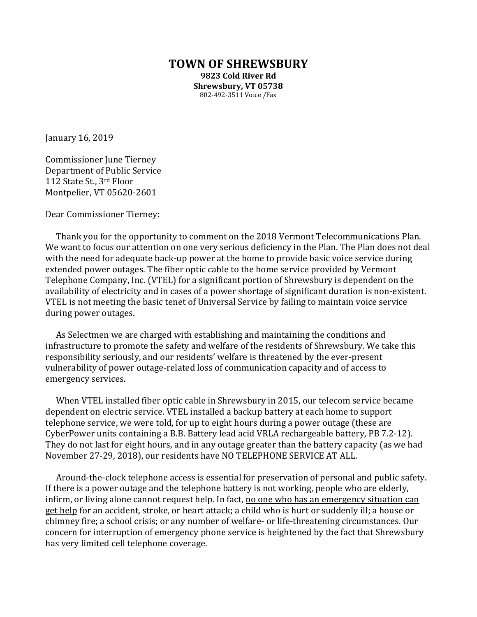## **TOWN OF SHREWSBURY 9823 Cold River Rd Shrewsbury, VT 05738** 802-492-3511 Voice /Fax

January 16, 2019

Commissioner June Tierney Department of Public Service 112 State St., 3rd Floor Montpelier, VT 05620-2601

Dear Commissioner Tierney:

Thank you for the opportunity to comment on the 2018 Vermont Telecommunications Plan. We want to focus our attention on one very serious deficiency in the Plan. The Plan does not deal with the need for adequate back-up power at the home to provide basic voice service during extended power outages. The fiber optic cable to the home service provided by Vermont Telephone Company, Inc. (VTEL) for a significant portion of Shrewsbury is dependent on the availability of electricity and in cases of a power shortage of significant duration is non-existent. VTEL is not meeting the basic tenet of Universal Service by failing to maintain voice service during power outages.

As Selectmen we are charged with establishing and maintaining the conditions and infrastructure to promote the safety and welfare of the residents of Shrewsbury. We take this responsibility seriously, and our residents' welfare is threatened by the ever-present vulnerability of power outage-related loss of communication capacity and of access to emergency services.

When VTEL installed fiber optic cable in Shrewsbury in 2015, our telecom service became dependent on electric service. VTEL installed a backup battery at each home to support telephone service, we were told, for up to eight hours during a power outage (these are CyberPower units containing a B.B. Battery lead acid VRLA rechargeable battery, PB 7.2-12). They do not last for eight hours, and in any outage greater than the battery capacity (as we had November 27-29, 2018), our residents have NO TELEPHONE SERVICE AT ALL.

Around-the-clock telephone access is essential for preservation of personal and public safety. If there is a power outage and the telephone battery is not working, people who are elderly, infirm, or living alone cannot request help. In fact, no one who has an emergency situation can get help for an accident, stroke, or heart attack; a child who is hurt or suddenly ill; a house or chimney fire; a school crisis; or any number of welfare- or life-threatening circumstances. Our concern for interruption of emergency phone service is heightened by the fact that Shrewsbury has very limited cell telephone coverage.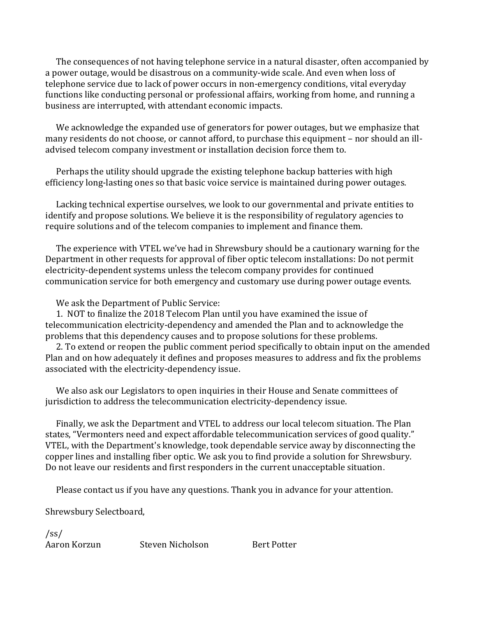The consequences of not having telephone service in a natural disaster, often accompanied by a power outage, would be disastrous on a community-wide scale. And even when loss of telephone service due to lack of power occurs in non-emergency conditions, vital everyday functions like conducting personal or professional affairs, working from home, and running a business are interrupted, with attendant economic impacts.

We acknowledge the expanded use of generators for power outages, but we emphasize that many residents do not choose, or cannot afford, to purchase this equipment – nor should an illadvised telecom company investment or installation decision force them to.

Perhaps the utility should upgrade the existing telephone backup batteries with high efficiency long-lasting ones so that basic voice service is maintained during power outages.

Lacking technical expertise ourselves, we look to our governmental and private entities to identify and propose solutions. We believe it is the responsibility of regulatory agencies to require solutions and of the telecom companies to implement and finance them.

The experience with VTEL we've had in Shrewsbury should be a cautionary warning for the Department in other requests for approval of fiber optic telecom installations: Do not permit electricity-dependent systems unless the telecom company provides for continued communication service for both emergency and customary use during power outage events.

We ask the Department of Public Service:

1. NOT to finalize the 2018 Telecom Plan until you have examined the issue of telecommunication electricity-dependency and amended the Plan and to acknowledge the problems that this dependency causes and to propose solutions for these problems.

2. To extend or reopen the public comment period specifically to obtain input on the amended Plan and on how adequately it defines and proposes measures to address and fix the problems associated with the electricity-dependency issue.

We also ask our Legislators to open inquiries in their House and Senate committees of jurisdiction to address the telecommunication electricity-dependency issue.

Finally, we ask the Department and VTEL to address our local telecom situation. The Plan states, "Vermonters need and expect affordable telecommunication services of good quality." VTEL, with the Department's knowledge, took dependable service away by disconnecting the copper lines and installing fiber optic. We ask you to find provide a solution for Shrewsbury. Do not leave our residents and first responders in the current unacceptable situation.

Please contact us if you have any questions. Thank you in advance for your attention.

Shrewsbury Selectboard,

/ss/

Aaron Korzun Steven Nicholson Bert Potter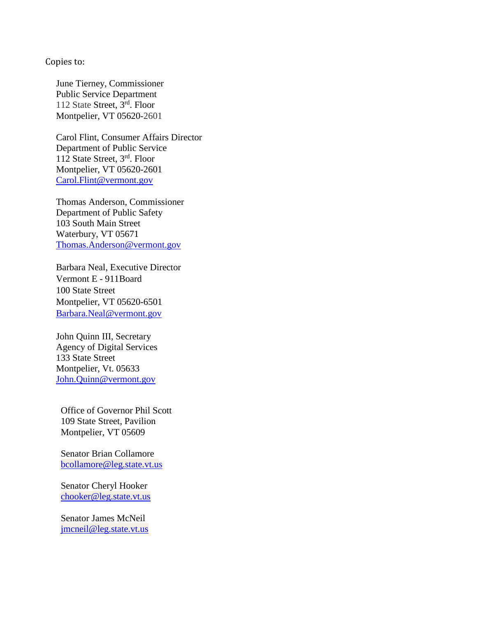## Copies to:

June Tierney, Commissioner Public Service Department 112 State Street, 3rd. Floor Montpelier, VT 05620-2601

Carol Flint, Consumer Affairs Director Department of Public Service 112 State Street, 3rd. Floor Montpelier, VT 05620-2601 [Carol.Flint@vermont.gov](mailto:Carol.Flint@vermont.gov)

Thomas Anderson, Commissioner Department of Public Safety 103 South Main Street Waterbury, VT 05671 [Thomas.Anderson@vermont.gov](mailto:Thomas.Anderson@vermont.gov)

Barbara Neal, Executive Director Vermont E - 911Board 100 State Street Montpelier, VT 05620-6501 [Barbara.Neal@vermont.gov](mailto:Barbara.Neal@vermont.gov)

John Quinn III, Secretary Agency of Digital Services 133 State Street Montpelier, Vt. 05633 [John.Quinn@vermont.gov](mailto:John.Quinn@vermont.gov)

Office of Governor Phil Scott 109 State Street, Pavilion Montpelier, VT 05609

Senator Brian Collamore [bcollamore@leg.state.vt.us](mailto:bcollamore@leg.state.vt.us)

Senator Cheryl Hooker [chooker@leg.state.vt.us](mailto:chooker@leg.state.vt.us)

Senator James McNeil [jmcneil@leg.state.vt.us](mailto:jmcneil@leg.state.vt.us)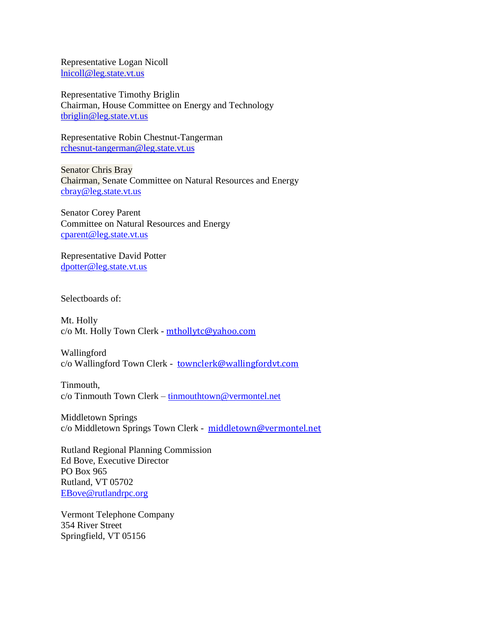Representative Logan Nicoll [lnicoll@leg.state.vt.us](mailto:lnicoll@leg.state.vt.us)

Representative Timothy Briglin Chairman, House Committee on Energy and Technology [tbriglin@leg.state.vt.us](mailto:tbriglin@leg.state.vt.us)

Representative Robin Chestnut-Tangerman [rchesnut-tangerman@leg.state.vt.us](mailto:rchesnut-tangerman@leg.state.vt.us)

Senator Chris Bray Chairman, Senate Committee on Natural Resources and Energy [cbray@leg.state.vt.us](mailto:cbray@leg.state.vt.us)

Senator Corey Parent Committee on Natural Resources and Energy [cparent@leg.state.vt.us](mailto:cparent@leg.state.vt.us)

Representative David Potter [dpotter@leg.state.vt.us](mailto:dpotter@leg.state.vt.us)

Selectboards of:

Mt. Holly c/o Mt. Holly Town Clerk - [mthollytc@yahoo.com](mailto:mthollytc@yahoo.com)

Wallingford c/o Wallingford Town Clerk - [townclerk@wallingfordvt.com](mailto:townclerk@wallingfordvt.com)

Tinmouth, c/o Tinmouth Town Clerk – [tinmouthtown@vermontel.net](mailto:tinmouthtown@vermontel.net)

Middletown Springs c/o Middletown Springs Town Clerk - [middletown@vermontel.net](mailto:middletown@vermontel.net)

Rutland Regional Planning Commission Ed Bove, Executive Director PO Box 965 Rutland, VT 05702 [EBove@rutlandrpc.org](mailto:EBove@rutlandrpc.org)

Vermont Telephone Company 354 River Street Springfield, VT 05156